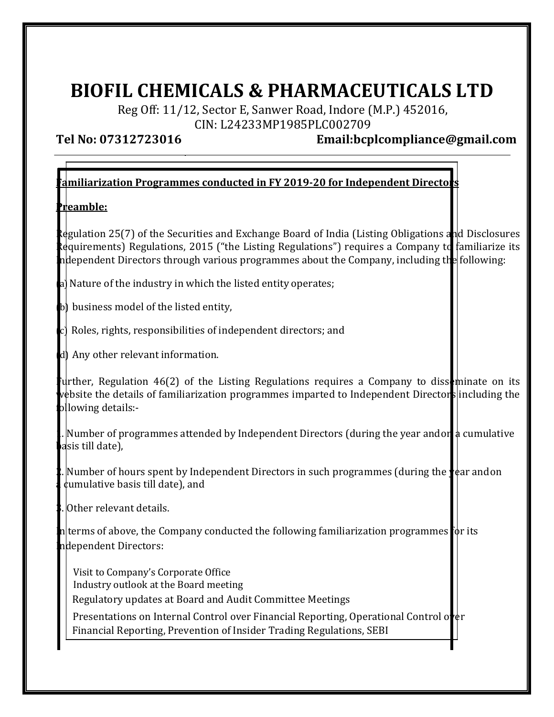## BIOFIL CHEMICALS & PHARMACEUTICALS LTD

Reg Off: 11/12, Sector E, Sanwer Road, Indore (M.P.) 452016, CIN: L24233MP1985PLC002709

Tel No: 07312723016 Email:bcplcompliance@gmail.com

## $\alpha$  amiliarization Programmes conducted in FY 2019-20 for Independent Directors

## Preamble:

Regulation 25(7) of the Securities and Exchange Board of India (Listing Obligations and Disclosures Requirements) Regulations, 2015 ("the Listing Regulations") requires a Company to familiarize its ndependent Directors through various programmes about the Company, including the following:

- a) Nature of the industry in which the listed entity operates;
- b) business model of the listed entity,
- c) Roles, rights, responsibilities of independent directors; and
- (d) Any other relevant information.

Further, Regulation 46(2) of the Listing Regulations requires a Company to disseminate on its website the details of familiarization programmes imparted to Independent Directors including the ollowing details:-

Number of programmes attended by Independent Directors (during the year and on a cumulative dsis till date).

Number of hours spent by Independent Directors in such programmes (during the  $\psi$  ar and on  $d$ umulative basis till date), and

3. Other relevant details.

 $n$  terms of above, the Company conducted the following familiarization programmes for its ndependent Directors:

Visit to Company's Corporate Office Industry outlook at the Board meeting Regulatory updates at Board and Audit Committee Meetings

Presentations on Internal Control over Financial Reporting, Operational Control over Financial Reporting, Prevention of Insider Trading Regulations, SEBI